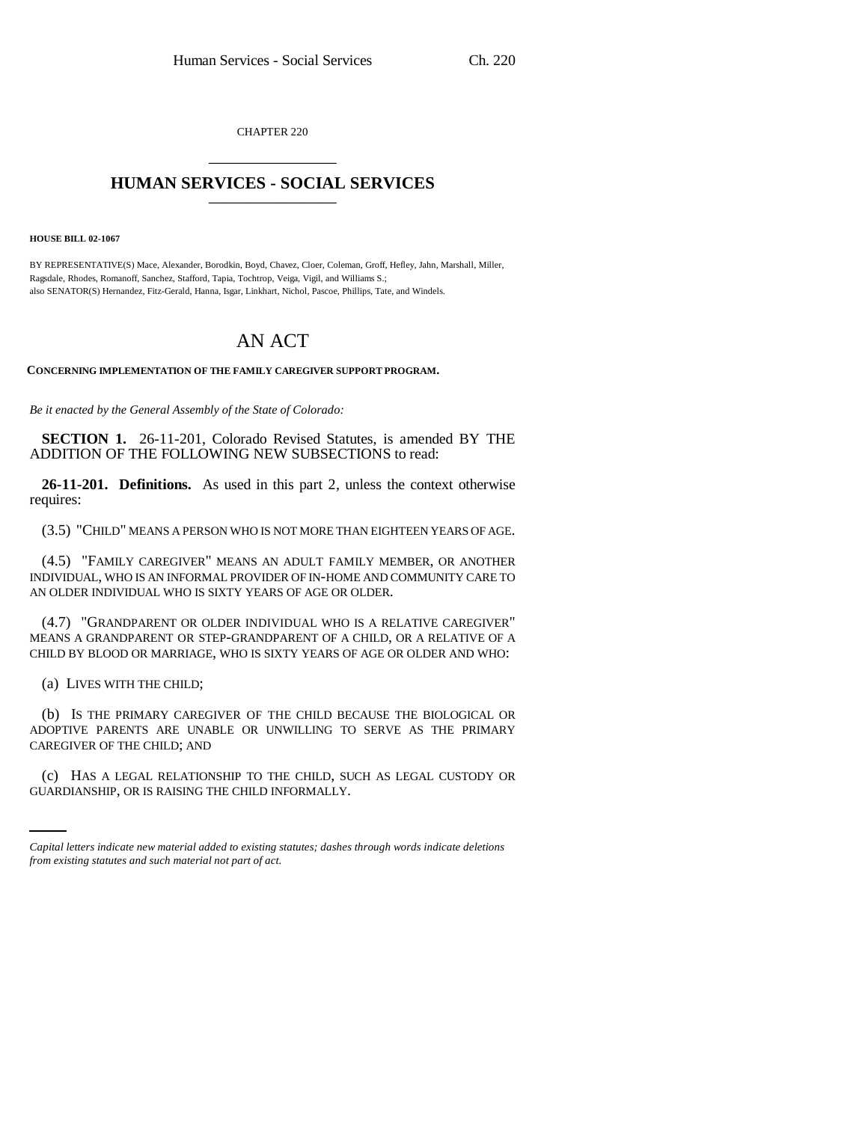CHAPTER 220 \_\_\_\_\_\_\_\_\_\_\_\_\_\_\_

## **HUMAN SERVICES - SOCIAL SERVICES** \_\_\_\_\_\_\_\_\_\_\_\_\_\_\_

**HOUSE BILL 02-1067**

BY REPRESENTATIVE(S) Mace, Alexander, Borodkin, Boyd, Chavez, Cloer, Coleman, Groff, Hefley, Jahn, Marshall, Miller, Ragsdale, Rhodes, Romanoff, Sanchez, Stafford, Tapia, Tochtrop, Veiga, Vigil, and Williams S.; also SENATOR(S) Hernandez, Fitz-Gerald, Hanna, Isgar, Linkhart, Nichol, Pascoe, Phillips, Tate, and Windels.

## AN ACT

**CONCERNING IMPLEMENTATION OF THE FAMILY CAREGIVER SUPPORT PROGRAM.**

*Be it enacted by the General Assembly of the State of Colorado:*

**SECTION 1.** 26-11-201, Colorado Revised Statutes, is amended BY THE ADDITION OF THE FOLLOWING NEW SUBSECTIONS to read:

**26-11-201. Definitions.** As used in this part 2, unless the context otherwise requires:

(3.5) "CHILD" MEANS A PERSON WHO IS NOT MORE THAN EIGHTEEN YEARS OF AGE.

(4.5) "FAMILY CAREGIVER" MEANS AN ADULT FAMILY MEMBER, OR ANOTHER INDIVIDUAL, WHO IS AN INFORMAL PROVIDER OF IN-HOME AND COMMUNITY CARE TO AN OLDER INDIVIDUAL WHO IS SIXTY YEARS OF AGE OR OLDER.

(4.7) "GRANDPARENT OR OLDER INDIVIDUAL WHO IS A RELATIVE CAREGIVER" MEANS A GRANDPARENT OR STEP-GRANDPARENT OF A CHILD, OR A RELATIVE OF A CHILD BY BLOOD OR MARRIAGE, WHO IS SIXTY YEARS OF AGE OR OLDER AND WHO:

(a) LIVES WITH THE CHILD;

(b) IS THE PRIMARY CAREGIVER OF THE CHILD BECAUSE THE BIOLOGICAL OR ADOPTIVE PARENTS ARE UNABLE OR UNWILLING TO SERVE AS THE PRIMARY CAREGIVER OF THE CHILD; AND

(c) HAS A LEGAL RELATIONSHIP TO THE CHILD, SUCH AS LEGAL CUSTODY OR GUARDIANSHIP, OR IS RAISING THE CHILD INFORMALLY.

*Capital letters indicate new material added to existing statutes; dashes through words indicate deletions from existing statutes and such material not part of act.*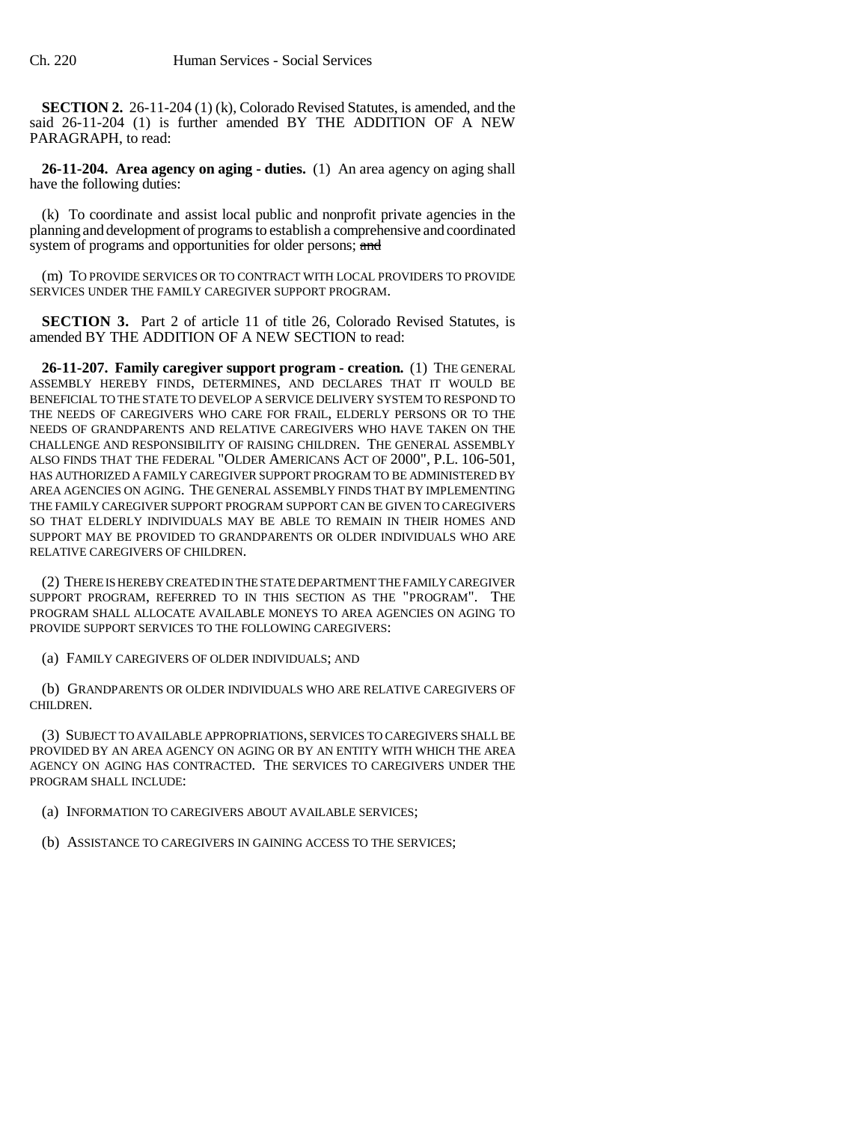**SECTION 2.** 26-11-204 (1) (k), Colorado Revised Statutes, is amended, and the said 26-11-204 (1) is further amended BY THE ADDITION OF A NEW PARAGRAPH, to read:

**26-11-204. Area agency on aging - duties.** (1) An area agency on aging shall have the following duties:

(k) To coordinate and assist local public and nonprofit private agencies in the planning and development of programs to establish a comprehensive and coordinated system of programs and opportunities for older persons; and

(m) TO PROVIDE SERVICES OR TO CONTRACT WITH LOCAL PROVIDERS TO PROVIDE SERVICES UNDER THE FAMILY CAREGIVER SUPPORT PROGRAM.

**SECTION 3.** Part 2 of article 11 of title 26, Colorado Revised Statutes, is amended BY THE ADDITION OF A NEW SECTION to read:

**26-11-207. Family caregiver support program - creation.** (1) THE GENERAL ASSEMBLY HEREBY FINDS, DETERMINES, AND DECLARES THAT IT WOULD BE BENEFICIAL TO THE STATE TO DEVELOP A SERVICE DELIVERY SYSTEM TO RESPOND TO THE NEEDS OF CAREGIVERS WHO CARE FOR FRAIL, ELDERLY PERSONS OR TO THE NEEDS OF GRANDPARENTS AND RELATIVE CAREGIVERS WHO HAVE TAKEN ON THE CHALLENGE AND RESPONSIBILITY OF RAISING CHILDREN. THE GENERAL ASSEMBLY ALSO FINDS THAT THE FEDERAL "OLDER AMERICANS ACT OF 2000", P.L. 106-501, HAS AUTHORIZED A FAMILY CAREGIVER SUPPORT PROGRAM TO BE ADMINISTERED BY AREA AGENCIES ON AGING. THE GENERAL ASSEMBLY FINDS THAT BY IMPLEMENTING THE FAMILY CAREGIVER SUPPORT PROGRAM SUPPORT CAN BE GIVEN TO CAREGIVERS SO THAT ELDERLY INDIVIDUALS MAY BE ABLE TO REMAIN IN THEIR HOMES AND SUPPORT MAY BE PROVIDED TO GRANDPARENTS OR OLDER INDIVIDUALS WHO ARE RELATIVE CAREGIVERS OF CHILDREN.

(2) THERE IS HEREBY CREATED IN THE STATE DEPARTMENT THE FAMILY CAREGIVER SUPPORT PROGRAM, REFERRED TO IN THIS SECTION AS THE "PROGRAM". THE PROGRAM SHALL ALLOCATE AVAILABLE MONEYS TO AREA AGENCIES ON AGING TO PROVIDE SUPPORT SERVICES TO THE FOLLOWING CAREGIVERS:

(a) FAMILY CAREGIVERS OF OLDER INDIVIDUALS; AND

(b) GRANDPARENTS OR OLDER INDIVIDUALS WHO ARE RELATIVE CAREGIVERS OF CHILDREN.

(3) SUBJECT TO AVAILABLE APPROPRIATIONS, SERVICES TO CAREGIVERS SHALL BE PROVIDED BY AN AREA AGENCY ON AGING OR BY AN ENTITY WITH WHICH THE AREA AGENCY ON AGING HAS CONTRACTED. THE SERVICES TO CAREGIVERS UNDER THE PROGRAM SHALL INCLUDE:

(a) INFORMATION TO CAREGIVERS ABOUT AVAILABLE SERVICES;

(b) ASSISTANCE TO CAREGIVERS IN GAINING ACCESS TO THE SERVICES;